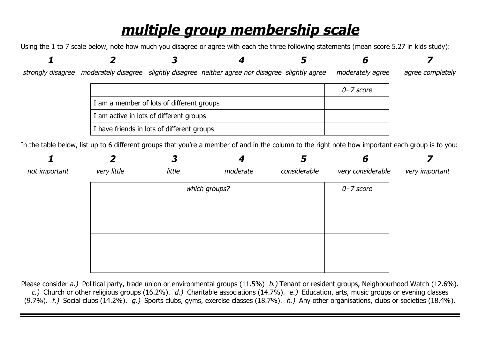## *multiple group membership scale*

Using the 1 to 7 scale below, note how much you disagree or agree with each the three following statements (mean score 5.27 in kids study):

| strongly disagree | moderately disagree slightly disagree neither agree nor disagree slightly agree                                                                   |                                           |  | moderately agree | agree completely |
|-------------------|---------------------------------------------------------------------------------------------------------------------------------------------------|-------------------------------------------|--|------------------|------------------|
|                   |                                                                                                                                                   |                                           |  | $0 - 7$ score    |                  |
|                   |                                                                                                                                                   | I am a member of lots of different groups |  |                  |                  |
|                   |                                                                                                                                                   | I am active in lots of different groups   |  |                  |                  |
|                   | I have friends in lots of different groups                                                                                                        |                                           |  |                  |                  |
|                   | In the table below, list up to 6 different groups that you're a member of and in the column to the right note how important each group is to you: |                                           |  |                  |                  |

|               |             | 3             |          | 5            | 6                 |                |
|---------------|-------------|---------------|----------|--------------|-------------------|----------------|
| not important | very little | little        | moderate | considerable | very considerable | very important |
|               |             | which groups? |          | 0-7 score    |                   |                |
|               |             |               |          |              |                   |                |
|               |             |               |          |              |                   |                |
|               |             |               |          |              |                   |                |
|               |             |               |          |              |                   |                |
|               |             |               |          |              |                   |                |
|               |             |               |          |              |                   |                |
|               |             |               |          |              |                   |                |

Please consider *a.)* Political party, trade union or environmental groups (11.5%) *b.)* Tenant or resident groups, Neighbourhood Watch (12.6%). *c.)* Church or other religious groups (16.2%). *d.)* Charitable associations (14.7%). *e.)* Education, arts, music groups or evening classes (9.7%). *f.)* Social clubs (14.2%). *g.)* Sports clubs, gyms, exercise classes (18.7%). *h.)* Any other organisations, clubs or societies (18.4%).